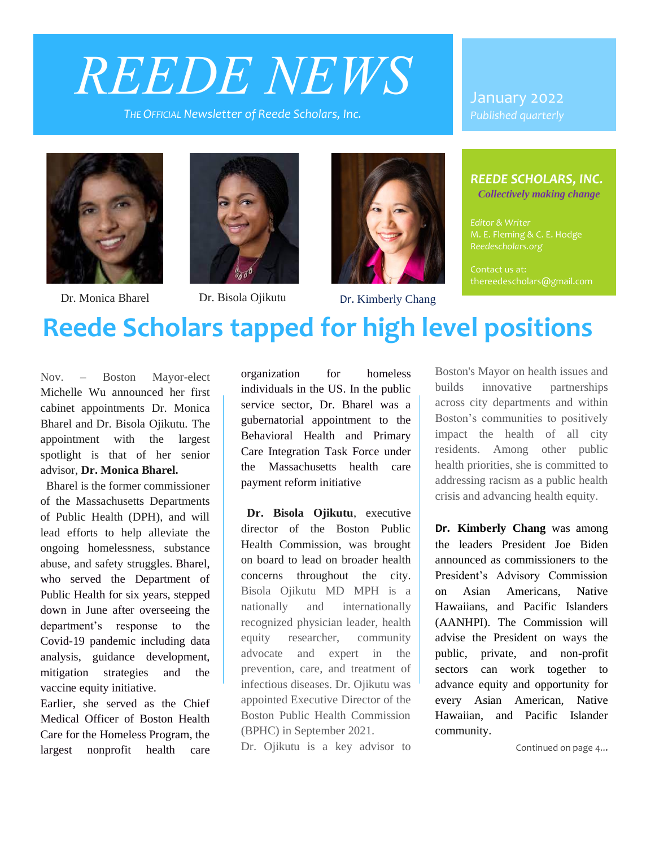# *REEDE NEWS*

*THE OFFICIAL Newsletter of Reede Scholars, Inc.* 

January 2022 *Published quarterly*





Dr. Monica Bharel Dr. Bisola Ojikutu Dr. Kimberly Chang



#### *REEDE SCHOLARS, INC.*

*Collectively making change*

*Editor & Writer* M. E. Fleming & C. E. Hodge

Contact us at: thereedescholars@gmail.com

# **Reede Scholars tapped for high level positions**

Nov. – Boston Mayor-elect Michelle Wu announced her first cabinet appointments Dr. Monica Bharel and Dr. Bisola Ojikutu. The appointment with the largest spotlight is that of her senior advisor, **Dr. Monica Bharel.** 

 Bharel is the former commissioner of the Massachusetts Departments of Public Health (DPH), and will lead efforts to help alleviate the ongoing homelessness, substance abuse, and safety struggles. Bharel, who served the Department of Public Health for six years, stepped down in June after overseeing the department's response to the Covid-19 pandemic including data analysis, guidance development, mitigation strategies and the vaccine equity initiative.

Earlier, she served as the Chief Medical Officer of Boston Health Care for the Homeless Program, the largest nonprofit health care

organization for homeless individuals in the US. In the public service sector, Dr. Bharel was a gubernatorial appointment to the Behavioral Health and Primary Care Integration Task Force under the Massachusetts health care payment reform initiative

 **Dr. Bisola Ojikutu**, executive director of the Boston Public Health Commission, was brought on board to lead on broader health concerns throughout the city. Bisola Ojikutu MD MPH is a nationally and internationally recognized physician leader, health equity researcher, community advocate and expert in the prevention, care, and treatment of infectious diseases. Dr. Ojikutu was appointed Executive Director of the Boston Public Health Commission (BPHC) in September 2021.

Dr. Ojikutu is a key advisor to

Boston's Mayor on health issues and builds innovative partnerships across city departments and within Boston's communities to positively impact the health of all city residents. Among other public health priorities, she is committed to addressing racism as a public health crisis and advancing health equity.

**Dr. Kimberly Chang** was among the leaders President Joe Biden announced as commissioners to the President's Advisory Commission on Asian Americans, Native Hawaiians, and Pacific Islanders (AANHPI). The Commission will advise the President on ways the public, private, and non-profit sectors can work together to advance equity and opportunity for every Asian American, Native Hawaiian, and Pacific Islander community.

Continued on page 4...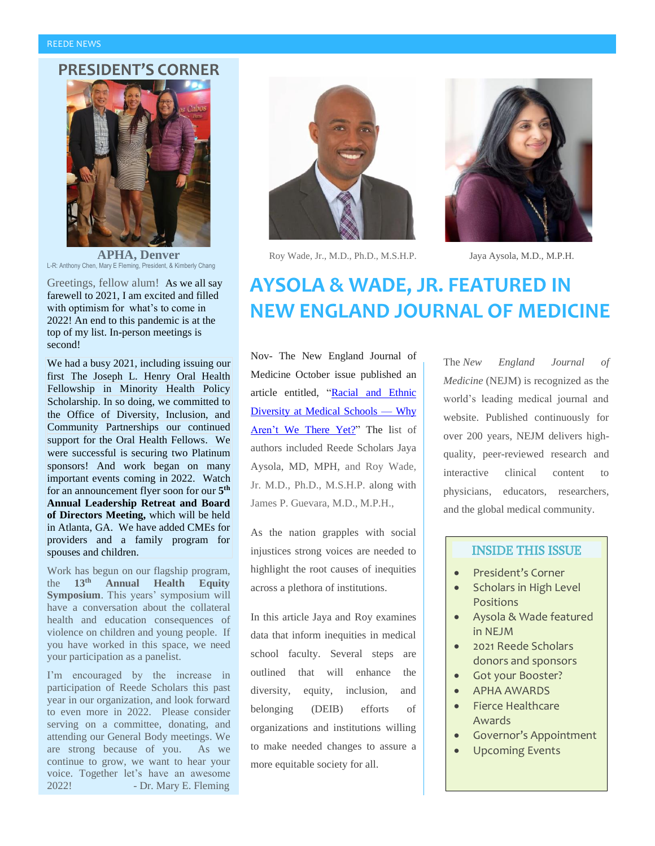#### **PRESIDENT'S CORNER**



**APHA, Denver** L-R: Anthony Chen, Mary E Fleming, President, & Kimberly Chang

Greetings, fellow alum! As we all say farewell to 2021, I am excited and filled with optimism for what's to come in 2022! An end to this pandemic is at the top of my list. In-person meetings is second!

We had a busy 2021, including issuing our first The Joseph L. Henry Oral Health Fellowship in Minority Health Policy Scholarship. In so doing, we committed to the Office of Diversity, Inclusion, and Community Partnerships our continued support for the Oral Health Fellows. We were successful is securing two Platinum sponsors! And work began on many important events coming in 2022. Watch for an announcement flyer soon for our **5 th Annual Leadership Retreat and Board of Directors Meeting,** which will be held in Atlanta, GA. We have added CMEs for providers and a family program for spouses and children.

Work has begun on our flagship program, the **13th Annual Health Equity Symposium**. This years' symposium will have a conversation about the collateral health and education consequences of violence on children and young people. If you have worked in this space, we need your participation as a panelist.

I'm encouraged by the increase in participation of Reede Scholars this past year in our organization, and look forward to even more in 2022. Please consider serving on a committee, donating, and attending our General Body meetings. We are strong because of you. As we continue to grow, we want to hear your voice. Together let's have an awesome 2022! - Dr. Mary E. Fleming



Roy Wade, Jr., M.D., Ph.D., M.S.H.P. Jaya Aysola, M.D., M.P.H.



# **AYSOLA & WADE, JR. FEATURED IN NEW ENGLAND JOURNAL OF MEDICINE**

Nov- The New England Journal of Medicine October issue published an article entitled, "Racial and Ethnic Diversity at Medical Schools — Why Aren't We There Yet?" The list of authors included Reede Scholars Jaya Aysola, MD, MPH, and Roy Wade, Jr. M.D., Ph.D., M.S.H.P. along with James P. Guevara, M.D., M.P.H.,

As the nation grapples with social injustices strong voices are needed to highlight the root causes of inequities across a plethora of institutions.

In this article Jaya and Roy examines data that inform inequities in medical school faculty. Several steps are outlined that will enhance the diversity, equity, inclusion, and belonging (DEIB) efforts of organizations and institutions willing to make needed changes to assure a more equitable society for all.

The *New England Journal of Medicine* (NEJM) is recognized as the world's leading medical journal and website. Published continuously for over 200 years, NEJM delivers highquality, peer-reviewed research and interactive clinical content to physicians, educators, researchers, and the global medical community.

#### INSIDE THIS ISSUE

- President's Corner
- Scholars in High Level Positions
- Aysola & Wade featured in NEJM
- 2021 Reede Scholars donors and sponsors
- Got your Booster?
- APHA AWARDS
- Fierce Healthcare Awards
- Governor's Appointment
- Upcoming Events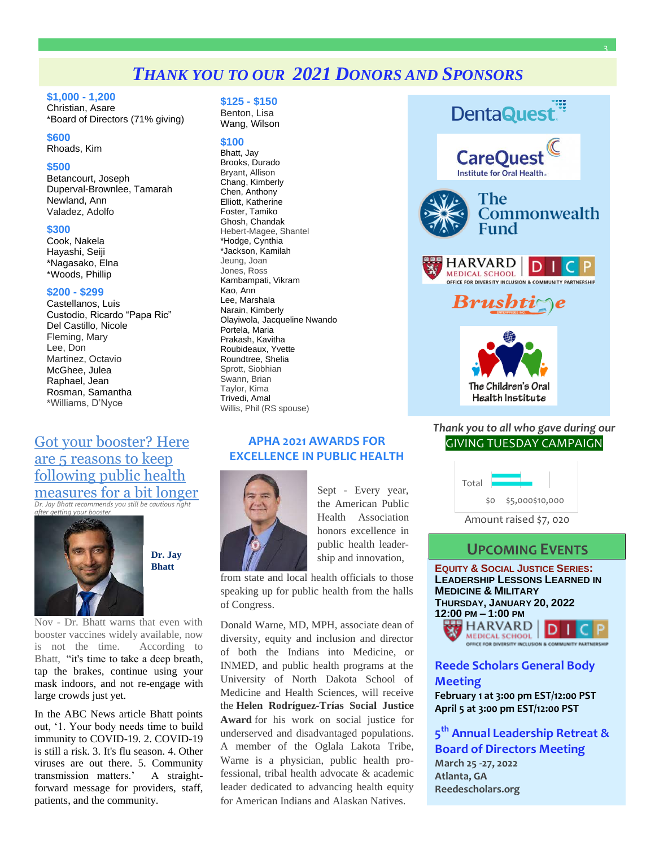## *THANK YOU TO OUR 2021 DONORS AND SPONSORS*

#### **\$1,000 - 1,200**

Christian, Asare \*Board of Directors (71% giving)

#### **\$600**

Rhoads, Kim

#### **\$500**

Betancourt, Joseph Duperval-Brownlee, Tamarah Newland, Ann Valadez, Adolfo

#### **\$300**

Cook, Nakela Hayashi, Seiji \*Nagasako, Elna \*Woods, Phillip

#### **\$200 - \$299**

Castellanos, Luis Custodio, Ricardo "Papa Ric" Del Castillo, Nicole Fleming, Mary Lee, Don Martinez, Octavio McGhee, Julea Raphael, Jean Rosman, Samantha \*Williams, D'Nyce

## [Got your booster? Here](https://abcnews.go.com/US/booster-reasons-public-health-measures-bit-longer/story?id=80908775&cid=social_twitter_abcn)  [are 5 reasons to keep](https://abcnews.go.com/US/booster-reasons-public-health-measures-bit-longer/story?id=80908775&cid=social_twitter_abcn)  [following public health](https://abcnews.go.com/US/booster-reasons-public-health-measures-bit-longer/story?id=80908775&cid=social_twitter_abcn)  [measures for a bit longer](https://abcnews.go.com/US/booster-reasons-public-health-measures-bit-longer/story?id=80908775&cid=social_twitter_abcn)

*Dr. Jay Bhatt recommends you still be cautious right after getting your booster.*



**[Dr. Jay](https://abcnews.go.com/author/drjay_bhatt)  [Bhatt](https://abcnews.go.com/author/drjay_bhatt)**

Nov - Dr. Bhatt warns that even with booster vaccines widely available, now is not the time. According to Bhatt, "it's time to take a deep breath, tap the brakes, continue using your mask indoors, and not re-engage with large crowds just yet.

In the ABC News article Bhatt points out, '1. Your body needs time to build immunity to COVID-19. 2. COVID-19 is still a risk. 3. It's flu season. 4. Other viruses are out there. 5. Community transmission matters.' A straightforward message for providers, staff, patients, and the community.

#### **\$125 - \$150**

Benton, Lisa Wang, Wilson

#### **\$100**

Bhatt, Jay Brooks, Durado Bryant, Allison Chang, Kimberly Chen, Anthony Elliott, Katherine Foster, Tamiko Ghosh, Chandak Hebert-Magee, Shantel \*Hodge, Cynthia \*Jackson, Kamilah Jeung, Joan Jones, Ross Kambampati, Vikram Kao, Ann Lee, Marshala Narain, Kimberly Olayiwola, Jacqueline Nwando Portela, Maria Prakash, Kavitha Roubideaux, Yvette Roundtree, Shelia Sprott, Siobhian Swann, Brian Taylor, Kima Trivedi, Amal Willis, Phil (RS spouse)

#### **APHA 2021 AWARDS FOR EXCELLENCE IN PUBLIC HEALTH**



Sept - Every year, the American Public Health Association honors excellence in public health leadership and innovation,

from state and local health officials to those speaking up for public health from the halls of Congress.

Donald Warne, MD, MPH, associate dean of diversity, equity and inclusion and director of both the Indians into Medicine, or INMED, and public health programs at the University of North Dakota School of Medicine and Health Sciences, will receive the **Helen Rodríguez-Trías Social Justice Award** for his work on social justice for underserved and disadvantaged populations. A member of the Oglala Lakota Tribe, Warne is a physician, public health professional, tribal health advocate & academic leader dedicated to advancing health equity for American Indians and Alaskan Natives.



3

*Thank you to all who gave during our* GIVING TUESDAY CAMPAIGN



## **UPCOMING EVENTS**

**EQUITY & SOCIAL JUSTICE SERIES: LEADERSHIP LESSONS LEARNED IN MEDICINE & MILITARY THURSDAY, JANUARY 20, 2022 12:00 PM – 1:00 PM HARVARD** 



#### **Reede Scholars General Body Meeting**

**February 1 at 3:00 pm EST/12:00 PST April 5 at 3:00 pm EST/12:00 PST**

**5 th Annual Leadership Retreat & Board of Directors Meeting March 25 -27, 2022 Atlanta, GA Reedescholars.org**